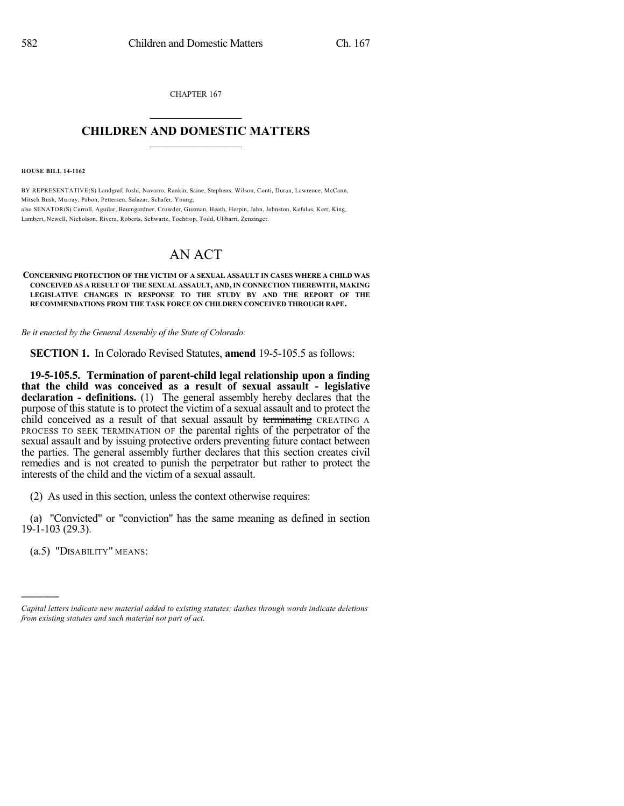CHAPTER 167  $\mathcal{L}_\text{max}$  . The set of the set of the set of the set of the set of the set of the set of the set of the set of the set of the set of the set of the set of the set of the set of the set of the set of the set of the set

## **CHILDREN AND DOMESTIC MATTERS**  $\_$

**HOUSE BILL 14-1162**

BY REPRESENTATIVE(S) Landgraf, Joshi, Navarro, Rankin, Saine, Stephens, Wilson, Conti, Duran, Lawrence, McCann, Mitsch Bush, Murray, Pabon, Pettersen, Salazar, Schafer, Young; also SENATOR(S) Carroll, Aguilar, Baumgardner, Crowder, Guzman, Heath, Herpin, Jahn, Johnston, Kefalas, Kerr, King, Lambert, Newell, Nicholson, Rivera, Roberts, Schwartz, Tochtrop, Todd, Ulibarri, Zenzinger.

## AN ACT

**CONCERNING PROTECTION OF THE VICTIM OF A SEXUAL ASSAULT IN CASES WHERE A CHILD WAS CONCEIVED AS A RESULT OF THE SEXUAL ASSAULT, AND, IN CONNECTION THEREWITH, MAKING LEGISLATIVE CHANGES IN RESPONSE TO THE STUDY BY AND THE REPORT OF THE RECOMMENDATIONS FROM THE TASK FORCE ON CHILDREN CONCEIVED THROUGH RAPE.**

*Be it enacted by the General Assembly of the State of Colorado:*

**SECTION 1.** In Colorado Revised Statutes, **amend** 19-5-105.5 as follows:

**19-5-105.5. Termination of parent-child legal relationship upon a finding that the child was conceived as a result of sexual assault - legislative declaration - definitions.** (1) The general assembly hereby declares that the purpose of this statute is to protect the victim of a sexual assault and to protect the child conceived as a result of that sexual assault by terminating CREATING A PROCESS TO SEEK TERMINATION OF the parental rights of the perpetrator of the sexual assault and by issuing protective orders preventing future contact between the parties. The general assembly further declares that this section creates civil remedies and is not created to punish the perpetrator but rather to protect the interests of the child and the victim of a sexual assault.

(2) As used in this section, unless the context otherwise requires:

(a) "Convicted" or "conviction" has the same meaning as defined in section 19-1-103 (29.3).

(a.5) "DISABILITY" MEANS:

)))))

*Capital letters indicate new material added to existing statutes; dashes through words indicate deletions from existing statutes and such material not part of act.*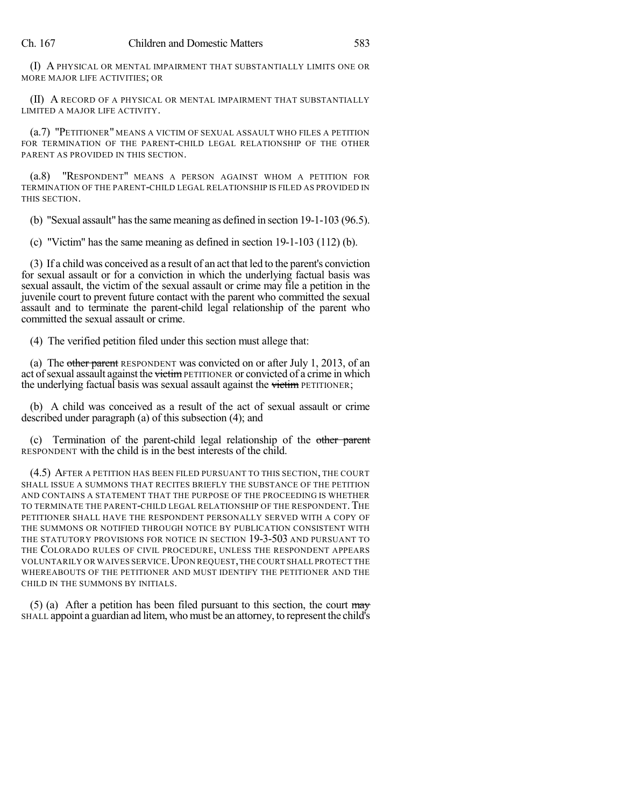(I) A PHYSICAL OR MENTAL IMPAIRMENT THAT SUBSTANTIALLY LIMITS ONE OR MORE MAJOR LIFE ACTIVITIES; OR

(II) A RECORD OF A PHYSICAL OR MENTAL IMPAIRMENT THAT SUBSTANTIALLY LIMITED A MAJOR LIFE ACTIVITY.

(a.7) "PETITIONER" MEANS A VICTIM OF SEXUAL ASSAULT WHO FILES A PETITION FOR TERMINATION OF THE PARENT-CHILD LEGAL RELATIONSHIP OF THE OTHER PARENT AS PROVIDED IN THIS SECTION.

(a.8) "RESPONDENT" MEANS A PERSON AGAINST WHOM A PETITION FOR TERMINATION OF THE PARENT-CHILD LEGAL RELATIONSHIP IS FILED AS PROVIDED IN THIS SECTION.

(b) "Sexual assault" hasthe same meaning as defined in section 19-1-103 (96.5).

(c) "Victim" has the same meaning as defined in section 19-1-103 (112) (b).

(3) If a child was conceived as a result of an act that led to the parent's conviction for sexual assault or for a conviction in which the underlying factual basis was sexual assault, the victim of the sexual assault or crime may file a petition in the juvenile court to prevent future contact with the parent who committed the sexual assault and to terminate the parent-child legal relationship of the parent who committed the sexual assault or crime.

(4) The verified petition filed under this section must allege that:

(a) The other parent RESPONDENT was convicted on or after July 1, 2013, of an act of sexual assault against the victim PETITIONER or convicted of a crime in which the underlying factual basis was sexual assault against the victim PETITIONER;

(b) A child was conceived as a result of the act of sexual assault or crime described under paragraph (a) of this subsection (4); and

(c) Termination of the parent-child legal relationship of the other parent RESPONDENT with the child is in the best interests of the child.

(4.5) AFTER A PETITION HAS BEEN FILED PURSUANT TO THIS SECTION, THE COURT SHALL ISSUE A SUMMONS THAT RECITES BRIEFLY THE SUBSTANCE OF THE PETITION AND CONTAINS A STATEMENT THAT THE PURPOSE OF THE PROCEEDING IS WHETHER TO TERMINATE THE PARENT-CHILD LEGAL RELATIONSHIP OF THE RESPONDENT. THE PETITIONER SHALL HAVE THE RESPONDENT PERSONALLY SERVED WITH A COPY OF THE SUMMONS OR NOTIFIED THROUGH NOTICE BY PUBLICATION CONSISTENT WITH THE STATUTORY PROVISIONS FOR NOTICE IN SECTION 19-3-503 AND PURSUANT TO THE COLORADO RULES OF CIVIL PROCEDURE, UNLESS THE RESPONDENT APPEARS VOLUNTARILY OR WAIVES SERVICE. UPON REQUEST, THE COURT SHALL PROTECT THE WHEREABOUTS OF THE PETITIONER AND MUST IDENTIFY THE PETITIONER AND THE CHILD IN THE SUMMONS BY INITIALS.

(5) (a) After a petition has been filed pursuant to this section, the court  $\frac{may}{cd}$ SHALL appoint a guardian ad litem, who must be an attorney, to represent the child's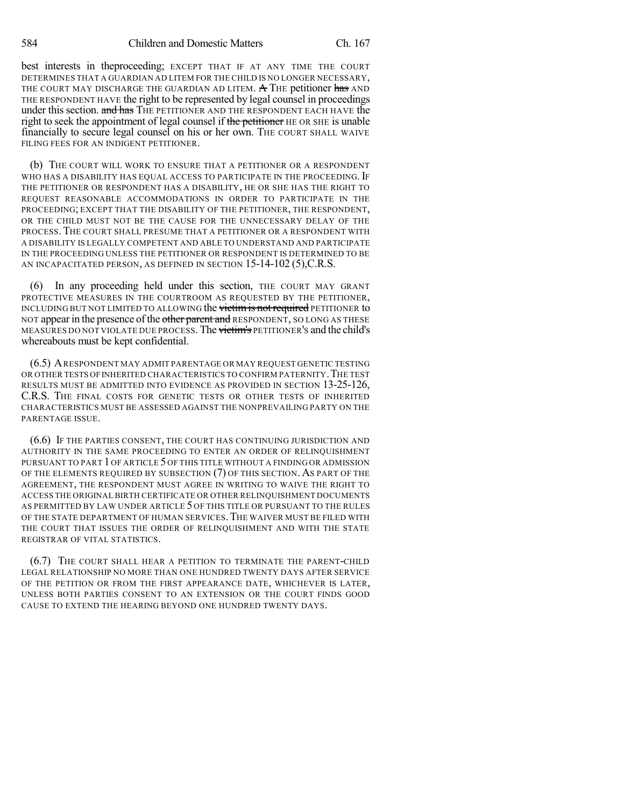best interests in theproceeding; EXCEPT THAT IF AT ANY TIME THE COURT DETERMINES THAT A GUARDIAN AD LITEM FOR THE CHILD IS NO LONGER NECESSARY, THE COURT MAY DISCHARGE THE GUARDIAN AD LITEM. A THE petitioner has AND THE RESPONDENT HAVE the right to be represented by legal counsel in proceedings under this section. and has THE PETITIONER AND THE RESPONDENT EACH HAVE the right to seek the appointment of legal counsel if the petitioner HE OR SHE is unable financially to secure legal counsel on his or her own. THE COURT SHALL WAIVE FILING FEES FOR AN INDIGENT PETITIONER.

(b) THE COURT WILL WORK TO ENSURE THAT A PETITIONER OR A RESPONDENT WHO HAS A DISABILITY HAS EQUAL ACCESS TO PARTICIPATE IN THE PROCEEDING. IF THE PETITIONER OR RESPONDENT HAS A DISABILITY, HE OR SHE HAS THE RIGHT TO REQUEST REASONABLE ACCOMMODATIONS IN ORDER TO PARTICIPATE IN THE PROCEEDING; EXCEPT THAT THE DISABILITY OF THE PETITIONER, THE RESPONDENT, OR THE CHILD MUST NOT BE THE CAUSE FOR THE UNNECESSARY DELAY OF THE PROCESS. THE COURT SHALL PRESUME THAT A PETITIONER OR A RESPONDENT WITH A DISABILITY IS LEGALLY COMPETENT AND ABLE TO UNDERSTAND AND PARTICIPATE IN THE PROCEEDING UNLESS THE PETITIONER OR RESPONDENT IS DETERMINED TO BE AN INCAPACITATED PERSON, AS DEFINED IN SECTION 15-14-102 (5),C.R.S.

(6) In any proceeding held under this section, THE COURT MAY GRANT PROTECTIVE MEASURES IN THE COURTROOM AS REQUESTED BY THE PETITIONER, INCLUDING BUT NOT LIMITED TO ALLOWING the victim is not required PETITIONER to NOT appear in the presence of the other parent and RESPONDENT, SO LONG AS THESE MEASURES DO NOT VIOLATE DUE PROCESS. The victim's PETITIONER's and the child's whereabouts must be kept confidential.

(6.5) ARESPONDENT MAY ADMIT PARENTAGE OR MAY REQUEST GENETIC TESTING OR OTHER TESTS OF INHERITED CHARACTERISTICS TO CONFIRM PATERNITY. THE TEST RESULTS MUST BE ADMITTED INTO EVIDENCE AS PROVIDED IN SECTION 13-25-126, C.R.S. THE FINAL COSTS FOR GENETIC TESTS OR OTHER TESTS OF INHERITED CHARACTERISTICS MUST BE ASSESSED AGAINST THE NONPREVAILING PARTY ON THE PARENTAGE ISSUE.

(6.6) IF THE PARTIES CONSENT, THE COURT HAS CONTINUING JURISDICTION AND AUTHORITY IN THE SAME PROCEEDING TO ENTER AN ORDER OF RELINQUISHMENT PURSUANT TO PART 1 OF ARTICLE 5 OF THIS TITLE WITHOUT A FINDING OR ADMISSION OF THE ELEMENTS REQUIRED BY SUBSECTION (7) OF THIS SECTION. AS PART OF THE AGREEMENT, THE RESPONDENT MUST AGREE IN WRITING TO WAIVE THE RIGHT TO ACCESS THE ORIGINAL BIRTH CERTIFICATE OR OTHER RELINQUISHMENT DOCUMENTS AS PERMITTED BY LAW UNDER ARTICLE 5 OF THIS TITLE OR PURSUANT TO THE RULES OF THE STATE DEPARTMENT OF HUMAN SERVICES. THE WAIVER MUST BE FILED WITH THE COURT THAT ISSUES THE ORDER OF RELINQUISHMENT AND WITH THE STATE REGISTRAR OF VITAL STATISTICS.

(6.7) THE COURT SHALL HEAR A PETITION TO TERMINATE THE PARENT-CHILD LEGAL RELATIONSHIP NO MORE THAN ONE HUNDRED TWENTY DAYS AFTER SERVICE OF THE PETITION OR FROM THE FIRST APPEARANCE DATE, WHICHEVER IS LATER, UNLESS BOTH PARTIES CONSENT TO AN EXTENSION OR THE COURT FINDS GOOD CAUSE TO EXTEND THE HEARING BEYOND ONE HUNDRED TWENTY DAYS.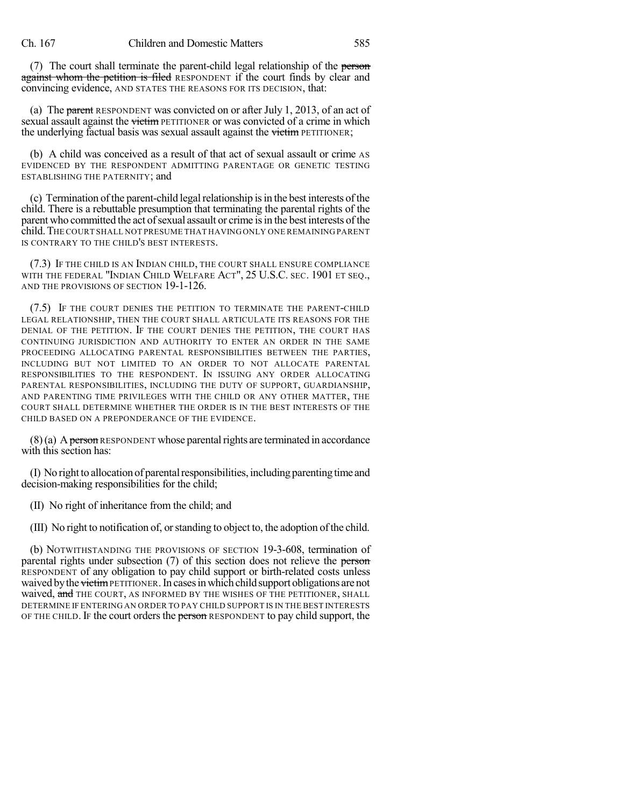(7) The court shall terminate the parent-child legal relationship of the person against whom the petition is filed RESPONDENT if the court finds by clear and convincing evidence, AND STATES THE REASONS FOR ITS DECISION, that:

(a) The parent RESPONDENT was convicted on or after July 1, 2013, of an act of sexual assault against the victim PETITIONER or was convicted of a crime in which the underlying factual basis was sexual assault against the victim PETITIONER;

(b) A child was conceived as a result of that act of sexual assault or crime AS EVIDENCED BY THE RESPONDENT ADMITTING PARENTAGE OR GENETIC TESTING ESTABLISHING THE PATERNITY; and

(c) Termination ofthe parent-child legalrelationship isin the best interests ofthe child. There is a rebuttable presumption that terminating the parental rights of the parent who committed the act of sexual assault or crime is in the best interests of the child.THE COURT SHALL NOT PRESUME THAT HAVINGONLY ONE REMAINING PARENT IS CONTRARY TO THE CHILD'S BEST INTERESTS.

(7.3) IF THE CHILD IS AN INDIAN CHILD, THE COURT SHALL ENSURE COMPLIANCE WITH THE FEDERAL "INDIAN CHILD WELFARE ACT", 25 U.S.C. SEC. 1901 ET SEQ., AND THE PROVISIONS OF SECTION 19-1-126.

(7.5) IF THE COURT DENIES THE PETITION TO TERMINATE THE PARENT-CHILD LEGAL RELATIONSHIP, THEN THE COURT SHALL ARTICULATE ITS REASONS FOR THE DENIAL OF THE PETITION. IF THE COURT DENIES THE PETITION, THE COURT HAS CONTINUING JURISDICTION AND AUTHORITY TO ENTER AN ORDER IN THE SAME PROCEEDING ALLOCATING PARENTAL RESPONSIBILITIES BETWEEN THE PARTIES, INCLUDING BUT NOT LIMITED TO AN ORDER TO NOT ALLOCATE PARENTAL RESPONSIBILITIES TO THE RESPONDENT. IN ISSUING ANY ORDER ALLOCATING PARENTAL RESPONSIBILITIES, INCLUDING THE DUTY OF SUPPORT, GUARDIANSHIP, AND PARENTING TIME PRIVILEGES WITH THE CHILD OR ANY OTHER MATTER, THE COURT SHALL DETERMINE WHETHER THE ORDER IS IN THE BEST INTERESTS OF THE CHILD BASED ON A PREPONDERANCE OF THE EVIDENCE.

 $(8)$ (a) A person RESPONDENT whose parental rights are terminated in accordance with this section has:

(I) No rightto allocation of parentalresponsibilities,includingparentingtime and decision-making responsibilities for the child;

(II) No right of inheritance from the child; and

(III) No right to notification of, orstanding to object to, the adoption ofthe child.

(b) NOTWITHSTANDING THE PROVISIONS OF SECTION 19-3-608, termination of parental rights under subsection (7) of this section does not relieve the person RESPONDENT of any obligation to pay child support or birth-related costs unless waived by the victim PETITIONER. In cases in which child support obligations are not waived, and THE COURT, AS INFORMED BY THE WISHES OF THE PETITIONER, SHALL DETERMINE IF ENTERING AN ORDER TO PAY CHILD SUPPORT IS IN THE BEST INTERESTS OF THE CHILD. If the court orders the person RESPONDENT to pay child support, the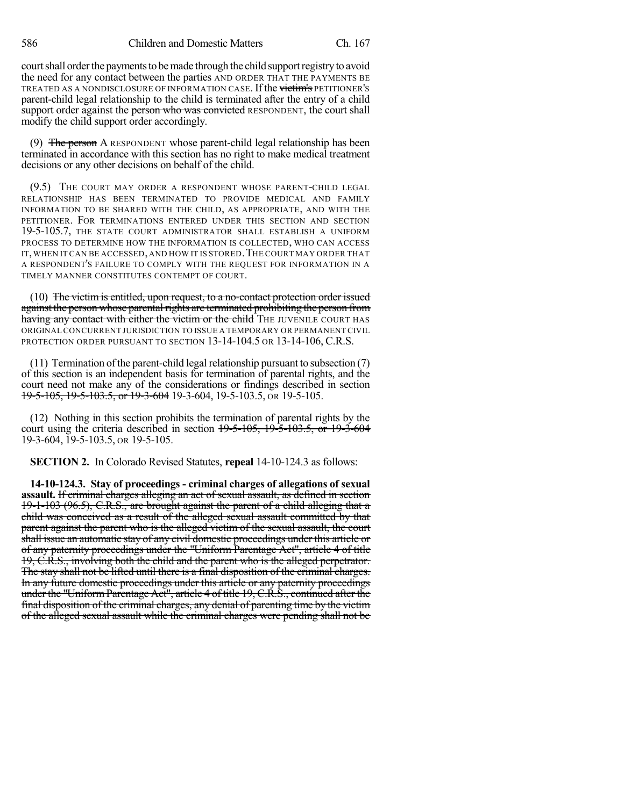court shall order the payments to be made through the child support registry to avoid the need for any contact between the parties AND ORDER THAT THE PAYMENTS BE TREATED AS A NONDISCLOSURE OF INFORMATION CASE. If the victim's PETITIONER'S parent-child legal relationship to the child is terminated after the entry of a child support order against the person who was convicted RESPONDENT, the court shall modify the child support order accordingly.

(9) The person A RESPONDENT whose parent-child legal relationship has been terminated in accordance with this section has no right to make medical treatment decisions or any other decisions on behalf of the child.

(9.5) THE COURT MAY ORDER A RESPONDENT WHOSE PARENT-CHILD LEGAL RELATIONSHIP HAS BEEN TERMINATED TO PROVIDE MEDICAL AND FAMILY INFORMATION TO BE SHARED WITH THE CHILD, AS APPROPRIATE, AND WITH THE PETITIONER. FOR TERMINATIONS ENTERED UNDER THIS SECTION AND SECTION 19-5-105.7, THE STATE COURT ADMINISTRATOR SHALL ESTABLISH A UNIFORM PROCESS TO DETERMINE HOW THE INFORMATION IS COLLECTED, WHO CAN ACCESS IT, WHEN IT CAN BE ACCESSED, AND HOW IT IS STORED. THE COURT MAY ORDER THAT A RESPONDENT'S FAILURE TO COMPLY WITH THE REQUEST FOR INFORMATION IN A TIMELY MANNER CONSTITUTES CONTEMPT OF COURT.

 $(10)$  The victim is entitled, upon request, to a no-contact protection order issued against the person whose parental rights are terminated prohibiting the person from having any contact with either the victim or the child THE JUVENILE COURT HAS ORIGINALCONCURRENT JURISDICTION TO ISSUE A TEMPORARY OR PERMANENT CIVIL PROTECTION ORDER PURSUANT TO SECTION 13-14-104.5 OR 13-14-106, C.R.S.

 $(11)$  Termination of the parent-child legal relationship pursuant to subsection  $(7)$ of this section is an independent basis for termination of parental rights, and the court need not make any of the considerations or findings described in section 19-5-105, 19-5-103.5, or 19-3-604 19-3-604, 19-5-103.5, OR 19-5-105.

(12) Nothing in this section prohibits the termination of parental rights by the court using the criteria described in section 19-5-105, 19-5-103.5, or 19-3-604 19-3-604, 19-5-103.5, OR 19-5-105.

**SECTION 2.** In Colorado Revised Statutes, **repeal** 14-10-124.3 as follows:

**14-10-124.3. Stay of proceedings - criminal charges of allegations of sexual assault.** If criminal charges alleging an act of sexual assault, as defined in section 19-1-103 (96.5), C.R.S., are brought against the parent of a child alleging that a child was conceived as a result of the alleged sexual assault committed by that parent against the parent who is the alleged victim of the sexual assault, the court shall issue an automatic stay of any civil domestic proceedings under this article or of any paternity proceedings under the "Uniform Parentage Act", article 4 of title 19, C.R.S., involving both the child and the parent who is the alleged perpetrator. The stay shall not be lifted until there is a final disposition of the criminal charges. In any future domestic proceedings under this article or any paternity proceedings under the "UniformParentage Act", article 4 of title 19, C.R.S., continued after the final disposition of the criminal charges, any denial of parenting time by the victim of the alleged sexual assault while the criminal charges were pending shall not be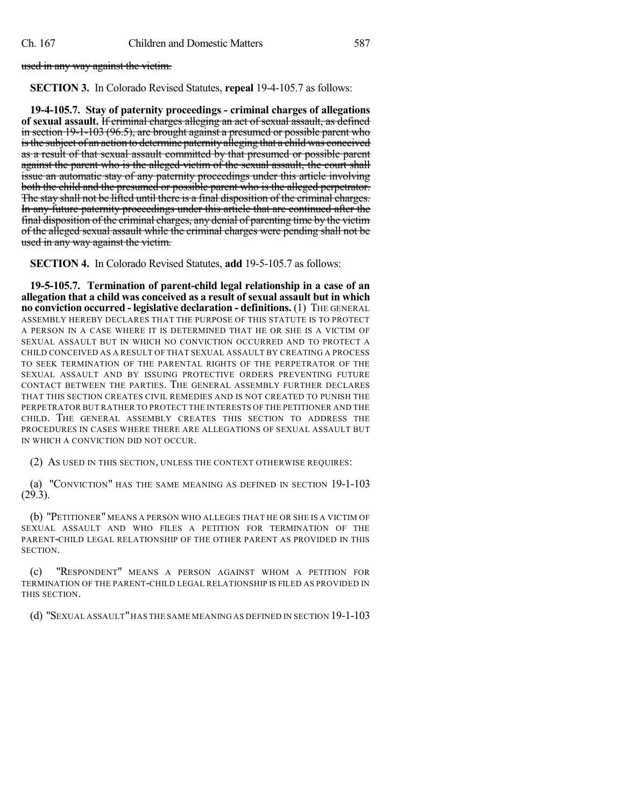used in any way against the victim.

**SECTION 3.** In Colorado Revised Statutes, **repeal** 19-4-105.7 as follows:

**19-4-105.7. Stay of paternity proceedings - criminal charges of allegations of sexual assault.** If criminal charges alleging an act of sexual assault, as defined in section 19-1-103 (96.5), are brought against a presumed or possible parent who isthe subject of an action to determine paternity alleging that a child was conceived as a result of that sexual assault committed by that presumed or possible parent against the parent who is the alleged victim of the sexual assault, the court shall issue an automatic stay of any paternity proceedings under this article involving both the child and the presumed or possible parent who is the alleged perpetrator. The stay shall not be lifted until there is a final disposition of the criminal charges. In any future paternity proceedings under this article that are continued after the final disposition of the criminal charges, any denial of parenting time by the victim of the alleged sexual assault while the criminal charges were pending shall not be used in any way against the victim.

**SECTION 4.** In Colorado Revised Statutes, **add** 19-5-105.7 as follows:

**19-5-105.7. Termination of parent-child legal relationship in a case of an allegation that a child was conceived as a result of sexual assault but in which no conviction occurred - legislative declaration - definitions.** (1) THE GENERAL ASSEMBLY HEREBY DECLARES THAT THE PURPOSE OF THIS STATUTE IS TO PROTECT A PERSON IN A CASE WHERE IT IS DETERMINED THAT HE OR SHE IS A VICTIM OF SEXUAL ASSAULT BUT IN WHICH NO CONVICTION OCCURRED AND TO PROTECT A CHILD CONCEIVED AS A RESULT OF THAT SEXUAL ASSAULT BY CREATING A PROCESS TO SEEK TERMINATION OF THE PARENTAL RIGHTS OF THE PERPETRATOR OF THE SEXUAL ASSAULT AND BY ISSUING PROTECTIVE ORDERS PREVENTING FUTURE CONTACT BETWEEN THE PARTIES. THE GENERAL ASSEMBLY FURTHER DECLARES THAT THIS SECTION CREATES CIVIL REMEDIES AND IS NOT CREATED TO PUNISH THE PERPETRATOR BUT RATHER TO PROTECT THE INTERESTS OF THE PETITIONER AND THE CHILD. THE GENERAL ASSEMBLY CREATES THIS SECTION TO ADDRESS THE PROCEDURES IN CASES WHERE THERE ARE ALLEGATIONS OF SEXUAL ASSAULT BUT IN WHICH A CONVICTION DID NOT OCCUR.

(2) AS USED IN THIS SECTION, UNLESS THE CONTEXT OTHERWISE REQUIRES:

(a) "CONVICTION" HAS THE SAME MEANING AS DEFINED IN SECTION 19-1-103 (29.3).

(b) "PETITIONER" MEANS A PERSON WHO ALLEGES THAT HE OR SHE IS A VICTIM OF SEXUAL ASSAULT AND WHO FILES A PETITION FOR TERMINATION OF THE PARENT-CHILD LEGAL RELATIONSHIP OF THE OTHER PARENT AS PROVIDED IN THIS SECTION.

(c) "RESPONDENT" MEANS A PERSON AGAINST WHOM A PETITION FOR TERMINATION OF THE PARENT-CHILD LEGAL RELATIONSHIP IS FILED AS PROVIDED IN THIS SECTION.

(d) "SEXUAL ASSAULT"HAS THE SAME MEANING AS DEFINED IN SECTION 19-1-103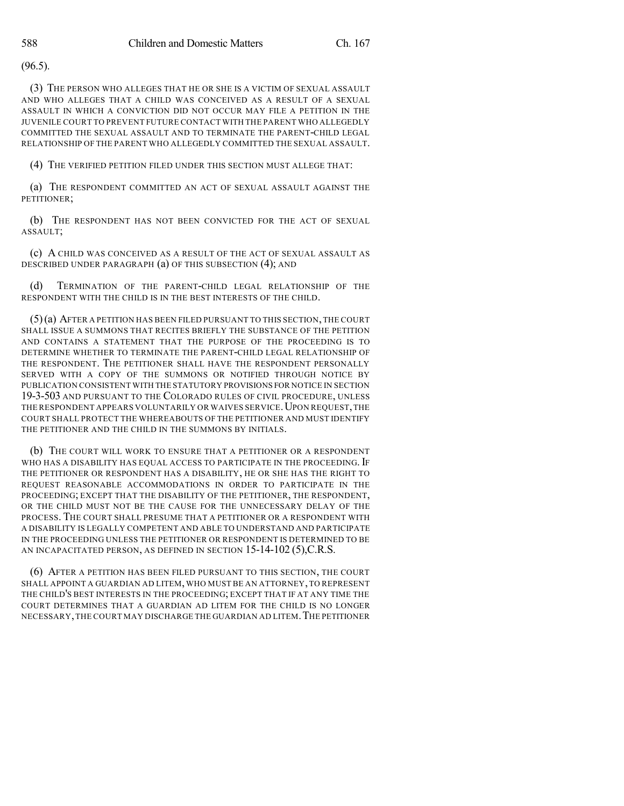(96.5).

(3) THE PERSON WHO ALLEGES THAT HE OR SHE IS A VICTIM OF SEXUAL ASSAULT AND WHO ALLEGES THAT A CHILD WAS CONCEIVED AS A RESULT OF A SEXUAL ASSAULT IN WHICH A CONVICTION DID NOT OCCUR MAY FILE A PETITION IN THE JUVENILE COURT TO PREVENT FUTURE CONTACT WITH THE PARENT WHO ALLEGEDLY COMMITTED THE SEXUAL ASSAULT AND TO TERMINATE THE PARENT-CHILD LEGAL RELATIONSHIP OF THE PARENT WHO ALLEGEDLY COMMITTED THE SEXUAL ASSAULT.

(4) THE VERIFIED PETITION FILED UNDER THIS SECTION MUST ALLEGE THAT:

(a) THE RESPONDENT COMMITTED AN ACT OF SEXUAL ASSAULT AGAINST THE PETITIONER;

(b) THE RESPONDENT HAS NOT BEEN CONVICTED FOR THE ACT OF SEXUAL ASSAULT;

(c) A CHILD WAS CONCEIVED AS A RESULT OF THE ACT OF SEXUAL ASSAULT AS DESCRIBED UNDER PARAGRAPH (a) OF THIS SUBSECTION (4); AND

(d) TERMINATION OF THE PARENT-CHILD LEGAL RELATIONSHIP OF THE RESPONDENT WITH THE CHILD IS IN THE BEST INTERESTS OF THE CHILD.

(5)(a) AFTER A PETITION HAS BEEN FILED PURSUANT TO THIS SECTION,THE COURT SHALL ISSUE A SUMMONS THAT RECITES BRIEFLY THE SUBSTANCE OF THE PETITION AND CONTAINS A STATEMENT THAT THE PURPOSE OF THE PROCEEDING IS TO DETERMINE WHETHER TO TERMINATE THE PARENT-CHILD LEGAL RELATIONSHIP OF THE RESPONDENT. THE PETITIONER SHALL HAVE THE RESPONDENT PERSONALLY SERVED WITH A COPY OF THE SUMMONS OR NOTIFIED THROUGH NOTICE BY PUBLICATION CONSISTENT WITH THE STATUTORY PROVISIONS FOR NOTICE IN SECTION 19-3-503 AND PURSUANT TO THE COLORADO RULES OF CIVIL PROCEDURE, UNLESS THE RESPONDENT APPEARS VOLUNTARILY OR WAIVES SERVICE. UPON REQUEST, THE COURT SHALL PROTECT THE WHEREABOUTS OF THE PETITIONER AND MUST IDENTIFY THE PETITIONER AND THE CHILD IN THE SUMMONS BY INITIALS.

(b) THE COURT WILL WORK TO ENSURE THAT A PETITIONER OR A RESPONDENT WHO HAS A DISABILITY HAS EQUAL ACCESS TO PARTICIPATE IN THE PROCEEDING. IF THE PETITIONER OR RESPONDENT HAS A DISABILITY, HE OR SHE HAS THE RIGHT TO REQUEST REASONABLE ACCOMMODATIONS IN ORDER TO PARTICIPATE IN THE PROCEEDING; EXCEPT THAT THE DISABILITY OF THE PETITIONER, THE RESPONDENT, OR THE CHILD MUST NOT BE THE CAUSE FOR THE UNNECESSARY DELAY OF THE PROCESS. THE COURT SHALL PRESUME THAT A PETITIONER OR A RESPONDENT WITH A DISABILITY IS LEGALLY COMPETENT AND ABLE TO UNDERSTAND AND PARTICIPATE IN THE PROCEEDING UNLESS THE PETITIONER OR RESPONDENT IS DETERMINED TO BE AN INCAPACITATED PERSON, AS DEFINED IN SECTION 15-14-102 (5),C.R.S.

(6) AFTER A PETITION HAS BEEN FILED PURSUANT TO THIS SECTION, THE COURT SHALL APPOINT A GUARDIAN AD LITEM, WHO MUST BE AN ATTORNEY,TO REPRESENT THE CHILD'S BEST INTERESTS IN THE PROCEEDING; EXCEPT THAT IF AT ANY TIME THE COURT DETERMINES THAT A GUARDIAN AD LITEM FOR THE CHILD IS NO LONGER NECESSARY,THE COURT MAY DISCHARGE THE GUARDIAN AD LITEM.THE PETITIONER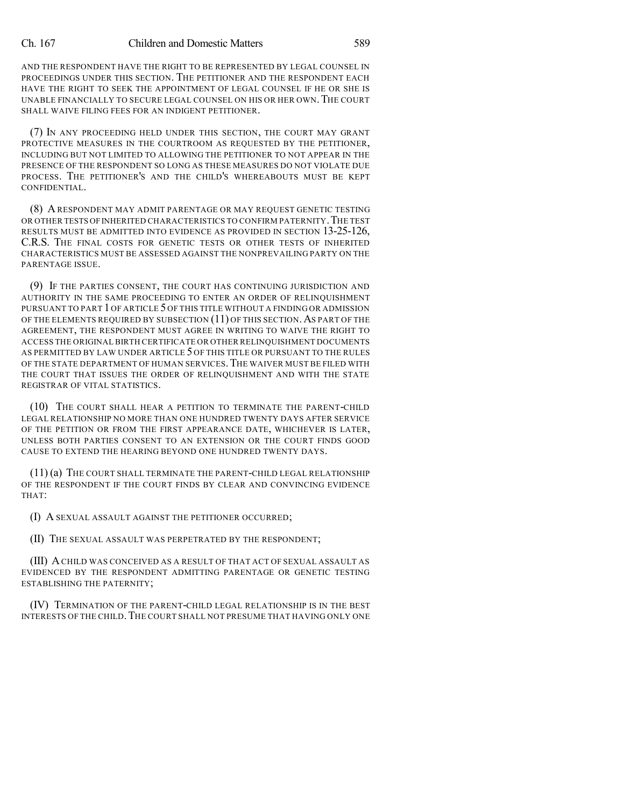AND THE RESPONDENT HAVE THE RIGHT TO BE REPRESENTED BY LEGAL COUNSEL IN PROCEEDINGS UNDER THIS SECTION. THE PETITIONER AND THE RESPONDENT EACH HAVE THE RIGHT TO SEEK THE APPOINTMENT OF LEGAL COUNSEL IF HE OR SHE IS UNABLE FINANCIALLY TO SECURE LEGAL COUNSEL ON HIS OR HER OWN.THE COURT SHALL WAIVE FILING FEES FOR AN INDIGENT PETITIONER.

(7) IN ANY PROCEEDING HELD UNDER THIS SECTION, THE COURT MAY GRANT PROTECTIVE MEASURES IN THE COURTROOM AS REQUESTED BY THE PETITIONER, INCLUDING BUT NOT LIMITED TO ALLOWING THE PETITIONER TO NOT APPEAR IN THE PRESENCE OF THE RESPONDENT SO LONG AS THESE MEASURES DO NOT VIOLATE DUE PROCESS. THE PETITIONER'S AND THE CHILD'S WHEREABOUTS MUST BE KEPT CONFIDENTIAL.

(8) A RESPONDENT MAY ADMIT PARENTAGE OR MAY REQUEST GENETIC TESTING OR OTHER TESTS OF INHERITED CHARACTERISTICS TO CONFIRM PATERNITY. THE TEST RESULTS MUST BE ADMITTED INTO EVIDENCE AS PROVIDED IN SECTION 13-25-126, C.R.S. THE FINAL COSTS FOR GENETIC TESTS OR OTHER TESTS OF INHERITED CHARACTERISTICS MUST BE ASSESSED AGAINST THE NONPREVAILING PARTY ON THE PARENTAGE ISSUE.

(9) IF THE PARTIES CONSENT, THE COURT HAS CONTINUING JURISDICTION AND AUTHORITY IN THE SAME PROCEEDING TO ENTER AN ORDER OF RELINQUISHMENT PURSUANT TO PART 1 OF ARTICLE 5 OF THIS TITLE WITHOUT A FINDING OR ADMISSION OF THE ELEMENTS REQUIRED BY SUBSECTION  $(11)$  OF THIS SECTION. AS PART OF THE AGREEMENT, THE RESPONDENT MUST AGREE IN WRITING TO WAIVE THE RIGHT TO ACCESS THE ORIGINAL BIRTH CERTIFICATE OR OTHER RELINQUISHMENT DOCUMENTS AS PERMITTED BY LAW UNDER ARTICLE 5 OF THIS TITLE OR PURSUANT TO THE RULES OF THE STATE DEPARTMENT OF HUMAN SERVICES.THE WAIVER MUST BE FILED WITH THE COURT THAT ISSUES THE ORDER OF RELINQUISHMENT AND WITH THE STATE REGISTRAR OF VITAL STATISTICS.

(10) THE COURT SHALL HEAR A PETITION TO TERMINATE THE PARENT-CHILD LEGAL RELATIONSHIP NO MORE THAN ONE HUNDRED TWENTY DAYS AFTER SERVICE OF THE PETITION OR FROM THE FIRST APPEARANCE DATE, WHICHEVER IS LATER, UNLESS BOTH PARTIES CONSENT TO AN EXTENSION OR THE COURT FINDS GOOD CAUSE TO EXTEND THE HEARING BEYOND ONE HUNDRED TWENTY DAYS.

(11) (a) THE COURT SHALL TERMINATE THE PARENT-CHILD LEGAL RELATIONSHIP OF THE RESPONDENT IF THE COURT FINDS BY CLEAR AND CONVINCING EVIDENCE THAT:

(I) A SEXUAL ASSAULT AGAINST THE PETITIONER OCCURRED;

(II) THE SEXUAL ASSAULT WAS PERPETRATED BY THE RESPONDENT;

(III) ACHILD WAS CONCEIVED AS A RESULT OF THAT ACT OF SEXUAL ASSAULT AS EVIDENCED BY THE RESPONDENT ADMITTING PARENTAGE OR GENETIC TESTING ESTABLISHING THE PATERNITY;

(IV) TERMINATION OF THE PARENT-CHILD LEGAL RELATIONSHIP IS IN THE BEST INTERESTS OF THE CHILD.THE COURT SHALL NOT PRESUME THAT HAVING ONLY ONE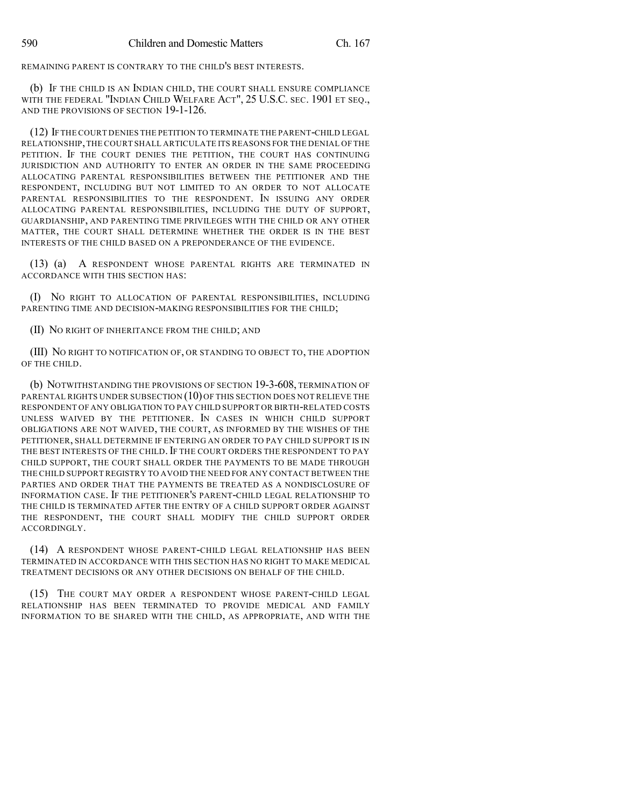REMAINING PARENT IS CONTRARY TO THE CHILD'S BEST INTERESTS.

(b) IF THE CHILD IS AN INDIAN CHILD, THE COURT SHALL ENSURE COMPLIANCE WITH THE FEDERAL "INDIAN CHILD WELFARE ACT", 25 U.S.C. SEC. 1901 ET SEQ., AND THE PROVISIONS OF SECTION 19-1-126.

(12) IFTHE COURT DENIES THE PETITION TO TERMINATE THE PARENT-CHILD LEGAL RELATIONSHIP,THE COURT SHALL ARTICULATE ITS REASONS FOR THE DENIAL OF THE PETITION. IF THE COURT DENIES THE PETITION, THE COURT HAS CONTINUING JURISDICTION AND AUTHORITY TO ENTER AN ORDER IN THE SAME PROCEEDING ALLOCATING PARENTAL RESPONSIBILITIES BETWEEN THE PETITIONER AND THE RESPONDENT, INCLUDING BUT NOT LIMITED TO AN ORDER TO NOT ALLOCATE PARENTAL RESPONSIBILITIES TO THE RESPONDENT. IN ISSUING ANY ORDER ALLOCATING PARENTAL RESPONSIBILITIES, INCLUDING THE DUTY OF SUPPORT, GUARDIANSHIP, AND PARENTING TIME PRIVILEGES WITH THE CHILD OR ANY OTHER MATTER, THE COURT SHALL DETERMINE WHETHER THE ORDER IS IN THE BEST INTERESTS OF THE CHILD BASED ON A PREPONDERANCE OF THE EVIDENCE.

(13) (a) A RESPONDENT WHOSE PARENTAL RIGHTS ARE TERMINATED IN ACCORDANCE WITH THIS SECTION HAS:

(I) NO RIGHT TO ALLOCATION OF PARENTAL RESPONSIBILITIES, INCLUDING PARENTING TIME AND DECISION-MAKING RESPONSIBILITIES FOR THE CHILD;

(II) NO RIGHT OF INHERITANCE FROM THE CHILD; AND

(III) NO RIGHT TO NOTIFICATION OF, OR STANDING TO OBJECT TO, THE ADOPTION OF THE CHILD.

(b) NOTWITHSTANDING THE PROVISIONS OF SECTION 19-3-608, TERMINATION OF PARENTAL RIGHTS UNDER SUBSECTION (10) OF THIS SECTION DOES NOT RELIEVE THE RESPONDENT OF ANY OBLIGATION TO PAY CHILD SUPPORT OR BIRTH-RELATED COSTS UNLESS WAIVED BY THE PETITIONER. IN CASES IN WHICH CHILD SUPPORT OBLIGATIONS ARE NOT WAIVED, THE COURT, AS INFORMED BY THE WISHES OF THE PETITIONER, SHALL DETERMINE IF ENTERING AN ORDER TO PAY CHILD SUPPORT IS IN THE BEST INTERESTS OF THE CHILD. IF THE COURT ORDERS THE RESPONDENT TO PAY CHILD SUPPORT, THE COURT SHALL ORDER THE PAYMENTS TO BE MADE THROUGH THE CHILD SUPPORT REGISTRY TO AVOID THE NEED FOR ANY CONTACT BETWEEN THE PARTIES AND ORDER THAT THE PAYMENTS BE TREATED AS A NONDISCLOSURE OF INFORMATION CASE. IF THE PETITIONER'S PARENT-CHILD LEGAL RELATIONSHIP TO THE CHILD IS TERMINATED AFTER THE ENTRY OF A CHILD SUPPORT ORDER AGAINST THE RESPONDENT, THE COURT SHALL MODIFY THE CHILD SUPPORT ORDER ACCORDINGLY.

(14) A RESPONDENT WHOSE PARENT-CHILD LEGAL RELATIONSHIP HAS BEEN TERMINATED IN ACCORDANCE WITH THIS SECTION HAS NO RIGHT TO MAKE MEDICAL TREATMENT DECISIONS OR ANY OTHER DECISIONS ON BEHALF OF THE CHILD.

(15) THE COURT MAY ORDER A RESPONDENT WHOSE PARENT-CHILD LEGAL RELATIONSHIP HAS BEEN TERMINATED TO PROVIDE MEDICAL AND FAMILY INFORMATION TO BE SHARED WITH THE CHILD, AS APPROPRIATE, AND WITH THE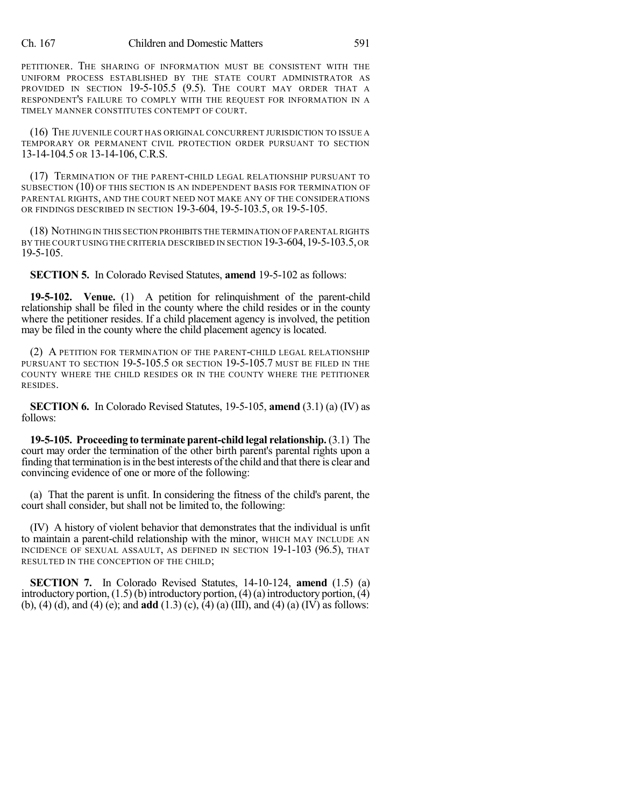## Ch. 167 Children and Domestic Matters 591

PETITIONER. THE SHARING OF INFORMATION MUST BE CONSISTENT WITH THE UNIFORM PROCESS ESTABLISHED BY THE STATE COURT ADMINISTRATOR AS PROVIDED IN SECTION 19-5-105.5 (9.5). THE COURT MAY ORDER THAT A RESPONDENT'S FAILURE TO COMPLY WITH THE REQUEST FOR INFORMATION IN A TIMELY MANNER CONSTITUTES CONTEMPT OF COURT.

(16) THE JUVENILE COURT HAS ORIGINAL CONCURRENT JURISDICTION TO ISSUE A TEMPORARY OR PERMANENT CIVIL PROTECTION ORDER PURSUANT TO SECTION 13-14-104.5 OR 13-14-106, C.R.S.

(17) TERMINATION OF THE PARENT-CHILD LEGAL RELATIONSHIP PURSUANT TO SUBSECTION (10) OF THIS SECTION IS AN INDEPENDENT BASIS FOR TERMINATION OF PARENTAL RIGHTS, AND THE COURT NEED NOT MAKE ANY OF THE CONSIDERATIONS OR FINDINGS DESCRIBED IN SECTION 19-3-604, 19-5-103.5, OR 19-5-105.

(18) NOTHINGIN THIS SECTION PROHIBITS THE TERMINATION OF PARENTALRIGHTS BY THE COURT USING THE CRITERIA DESCRIBED IN SECTION 19-3-604,19-5-103.5,OR 19-5-105.

**SECTION 5.** In Colorado Revised Statutes, **amend** 19-5-102 as follows:

**19-5-102. Venue.** (1) A petition for relinquishment of the parent-child relationship shall be filed in the county where the child resides or in the county where the petitioner resides. If a child placement agency is involved, the petition may be filed in the county where the child placement agency is located.

(2) A PETITION FOR TERMINATION OF THE PARENT-CHILD LEGAL RELATIONSHIP PURSUANT TO SECTION 19-5-105.5 OR SECTION 19-5-105.7 MUST BE FILED IN THE COUNTY WHERE THE CHILD RESIDES OR IN THE COUNTY WHERE THE PETITIONER RESIDES.

**SECTION 6.** In Colorado Revised Statutes, 19-5-105, **amend** (3.1) (a) (IV) as follows:

**19-5-105. Proceeding to terminate parent-child legal relationship.** (3.1) The court may order the termination of the other birth parent's parental rights upon a finding that termination is in the best interests of the child and that there is clear and convincing evidence of one or more of the following:

(a) That the parent is unfit. In considering the fitness of the child's parent, the court shall consider, but shall not be limited to, the following:

(IV) A history of violent behavior that demonstrates that the individual is unfit to maintain a parent-child relationship with the minor, WHICH MAY INCLUDE AN INCIDENCE OF SEXUAL ASSAULT, AS DEFINED IN SECTION 19-1-103 (96.5), THAT RESULTED IN THE CONCEPTION OF THE CHILD;

**SECTION 7.** In Colorado Revised Statutes, 14-10-124, **amend** (1.5) (a) introductory portion,  $(1.5)$  (b) introductory portion,  $(4)$  (a) introductory portion,  $(4)$ (b), (4) (d), and (4) (e); and **add** (1.3) (c), (4) (a) (III), and (4) (a) (IV) as follows: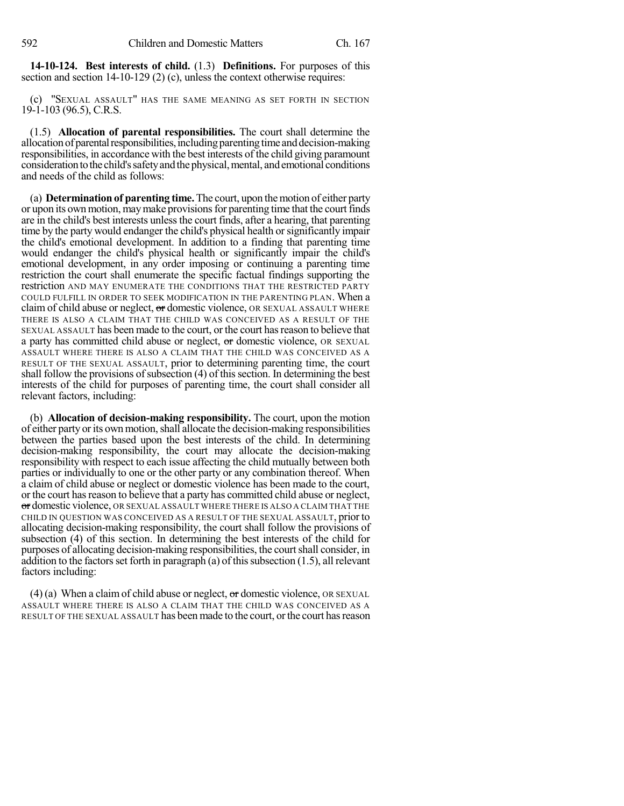**14-10-124. Best interests of child.** (1.3) **Definitions.** For purposes of this section and section 14-10-129 (2) (c), unless the context otherwise requires:

(c) "SEXUAL ASSAULT" HAS THE SAME MEANING AS SET FORTH IN SECTION 19-1-103 (96.5), C.R.S.

(1.5) **Allocation of parental responsibilities.** The court shall determine the allocation of parental responsibilities, including parenting time and decision-making responsibilities, in accordance with the best interests of the child giving paramount consideration to the child's safety and the physical, mental, and emotional conditions and needs of the child as follows:

(a) **Determination of parenting time.**The court, upon themotion of either party or upon its own motion, may make provisions for parenting time that the court finds are in the child's best interests unless the court finds, after a hearing, that parenting time by the party would endanger the child's physical health orsignificantly impair the child's emotional development. In addition to a finding that parenting time would endanger the child's physical health or significantly impair the child's emotional development, in any order imposing or continuing a parenting time restriction the court shall enumerate the specific factual findings supporting the restriction AND MAY ENUMERATE THE CONDITIONS THAT THE RESTRICTED PARTY COULD FULFILL IN ORDER TO SEEK MODIFICATION IN THE PARENTING PLAN. When a claim of child abuse or neglect,  $\sigma$  domestic violence, OR SEXUAL ASSAULT WHERE THERE IS ALSO A CLAIM THAT THE CHILD WAS CONCEIVED AS A RESULT OF THE SEXUAL ASSAULT has been made to the court, or the court hasreason to believe that a party has committed child abuse or neglect, or domestic violence, OR SEXUAL ASSAULT WHERE THERE IS ALSO A CLAIM THAT THE CHILD WAS CONCEIVED AS A RESULT OF THE SEXUAL ASSAULT, prior to determining parenting time, the court shall follow the provisions of subsection  $(4)$  of this section. In determining the best interests of the child for purposes of parenting time, the court shall consider all relevant factors, including:

(b) **Allocation of decision-making responsibility.** The court, upon the motion of either party or its own motion, shall allocate the decision-making responsibilities between the parties based upon the best interests of the child. In determining decision-making responsibility, the court may allocate the decision-making responsibility with respect to each issue affecting the child mutually between both parties or individually to one or the other party or any combination thereof. When a claim of child abuse or neglect or domestic violence has been made to the court, or the court has reason to believe that a party has committed child abuse or neglect, or domestic violence, OR SEXUAL ASSAULT WHERE THERE IS ALSO A CLAIM THAT THE CHILD IN QUESTION WAS CONCEIVED AS A RESULT OF THE SEXUAL ASSAULT, prior to allocating decision-making responsibility, the court shall follow the provisions of subsection (4) of this section. In determining the best interests of the child for purposes of allocating decision-making responsibilities, the courtshall consider, in addition to the factors set forth in paragraph (a) of this subsection  $(1.5)$ , all relevant factors including:

(4) (a) When a claim of child abuse or neglect,  $\sigma$  domestic violence, OR SEXUAL ASSAULT WHERE THERE IS ALSO A CLAIM THAT THE CHILD WAS CONCEIVED AS A RESULT OF THE SEXUAL ASSAULT has been made to the court, orthe court hasreason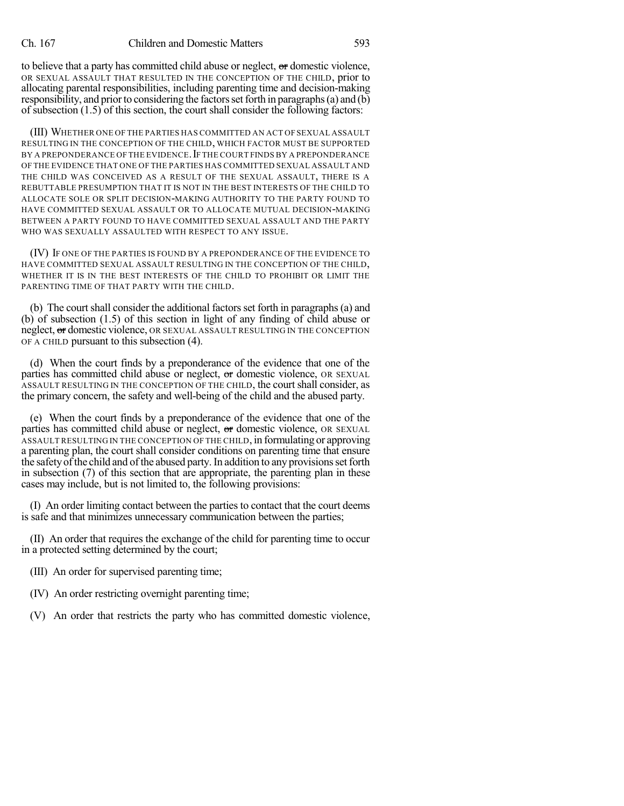to believe that a party has committed child abuse or neglect, or domestic violence, OR SEXUAL ASSAULT THAT RESULTED IN THE CONCEPTION OF THE CHILD, prior to allocating parental responsibilities, including parenting time and decision-making responsibility, and prior to considering the factors set forth in paragraphs (a) and  $(b)$ of subsection (1.5) of this section, the court shall consider the following factors:

(III) WHETHER ONE OF THE PARTIES HAS COMMITTED AN ACT OF SEXUAL ASSAULT RESULTING IN THE CONCEPTION OF THE CHILD, WHICH FACTOR MUST BE SUPPORTED BY A PREPONDERANCE OF THE EVIDENCE. IF THE COURT FINDS BY A PREPONDERANCE OF THE EVIDENCE THAT ONE OF THE PARTIES HAS COMMITTED SEXUAL ASSAULT AND THE CHILD WAS CONCEIVED AS A RESULT OF THE SEXUAL ASSAULT, THERE IS A REBUTTABLE PRESUMPTION THAT IT IS NOT IN THE BEST INTERESTS OF THE CHILD TO ALLOCATE SOLE OR SPLIT DECISION-MAKING AUTHORITY TO THE PARTY FOUND TO HAVE COMMITTED SEXUAL ASSAULT OR TO ALLOCATE MUTUAL DECISION-MAKING BETWEEN A PARTY FOUND TO HAVE COMMITTED SEXUAL ASSAULT AND THE PARTY WHO WAS SEXUALLY ASSAULTED WITH RESPECT TO ANY ISSUE.

(IV) IF ONE OF THE PARTIES IS FOUND BY A PREPONDERANCE OF THE EVIDENCE TO HAVE COMMITTED SEXUAL ASSAULT RESULTING IN THE CONCEPTION OF THE CHILD, WHETHER IT IS IN THE BEST INTERESTS OF THE CHILD TO PROHIBIT OR LIMIT THE PARENTING TIME OF THAT PARTY WITH THE CHILD.

(b) The court shall consider the additional factors set forth in paragraphs (a) and (b) of subsection (1.5) of this section in light of any finding of child abuse or neglect, or domestic violence, OR SEXUAL ASSAULT RESULTING IN THE CONCEPTION OF A CHILD pursuant to this subsection (4).

(d) When the court finds by a preponderance of the evidence that one of the parties has committed child abuse or neglect, or domestic violence, OR SEXUAL ASSAULT RESULTING IN THE CONCEPTION OF THE CHILD, the courtshall consider, as the primary concern, the safety and well-being of the child and the abused party.

(e) When the court finds by a preponderance of the evidence that one of the parties has committed child abuse or neglect, or domestic violence, OR SEXUAL ASSAULT RESULTING IN THE CONCEPTION OF THE CHILD, in formulating or approving a parenting plan, the court shall consider conditions on parenting time that ensure the safety of the child and of the abused party. In addition to any provisions set forth in subsection (7) of this section that are appropriate, the parenting plan in these cases may include, but is not limited to, the following provisions:

(I) An order limiting contact between the parties to contact that the court deems is safe and that minimizes unnecessary communication between the parties;

(II) An order that requires the exchange of the child for parenting time to occur in a protected setting determined by the court;

- (III) An order for supervised parenting time;
- (IV) An order restricting overnight parenting time;
- (V) An order that restricts the party who has committed domestic violence,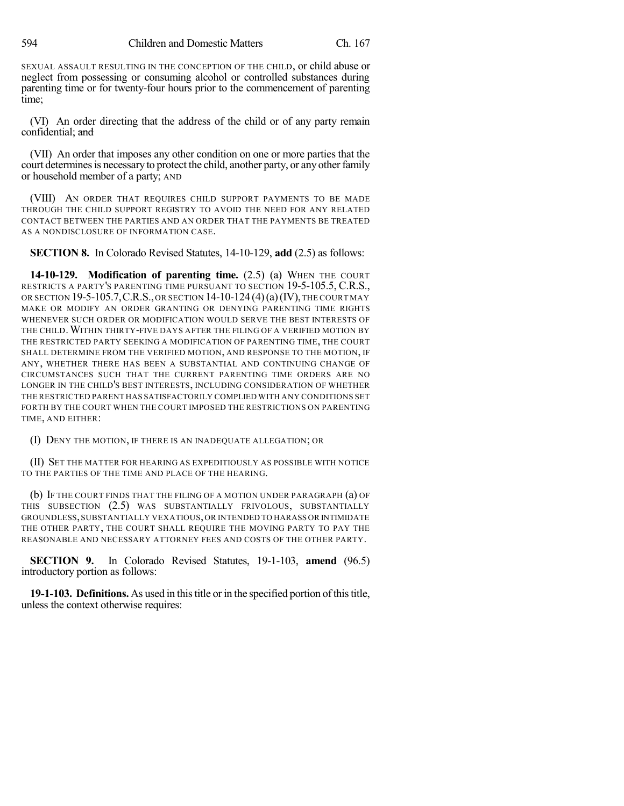SEXUAL ASSAULT RESULTING IN THE CONCEPTION OF THE CHILD, or child abuse or neglect from possessing or consuming alcohol or controlled substances during parenting time or for twenty-four hours prior to the commencement of parenting time;

(VI) An order directing that the address of the child or of any party remain confidential; and

(VII) An order that imposes any other condition on one or more parties that the court determines is necessary to protect the child, another party, or any other family or household member of a party; AND

(VIII) AN ORDER THAT REQUIRES CHILD SUPPORT PAYMENTS TO BE MADE THROUGH THE CHILD SUPPORT REGISTRY TO AVOID THE NEED FOR ANY RELATED CONTACT BETWEEN THE PARTIES AND AN ORDER THAT THE PAYMENTS BE TREATED AS A NONDISCLOSURE OF INFORMATION CASE.

**SECTION 8.** In Colorado Revised Statutes, 14-10-129, **add** (2.5) as follows:

**14-10-129. Modification of parenting time.** (2.5) (a) WHEN THE COURT RESTRICTS A PARTY'S PARENTING TIME PURSUANT TO SECTION 19-5-105.5, C.R.S., OR SECTION 19-5-105.7,C.R.S.,OR SECTION 14-10-124 (4)(a)(IV),THE COURT MAY MAKE OR MODIFY AN ORDER GRANTING OR DENYING PARENTING TIME RIGHTS WHENEVER SUCH ORDER OR MODIFICATION WOULD SERVE THE BEST INTERESTS OF THE CHILD.WITHIN THIRTY-FIVE DAYS AFTER THE FILING OF A VERIFIED MOTION BY THE RESTRICTED PARTY SEEKING A MODIFICATION OF PARENTING TIME, THE COURT SHALL DETERMINE FROM THE VERIFIED MOTION, AND RESPONSE TO THE MOTION, IF ANY, WHETHER THERE HAS BEEN A SUBSTANTIAL AND CONTINUING CHANGE OF CIRCUMSTANCES SUCH THAT THE CURRENT PARENTING TIME ORDERS ARE NO LONGER IN THE CHILD'S BEST INTERESTS, INCLUDING CONSIDERATION OF WHETHER THE RESTRICTED PARENT HAS SATISFACTORILY COMPLIED WITH ANY CONDITIONS SET FORTH BY THE COURT WHEN THE COURT IMPOSED THE RESTRICTIONS ON PARENTING TIME, AND EITHER:

(I) DENY THE MOTION, IF THERE IS AN INADEQUATE ALLEGATION; OR

(II) SET THE MATTER FOR HEARING AS EXPEDITIOUSLY AS POSSIBLE WITH NOTICE TO THE PARTIES OF THE TIME AND PLACE OF THE HEARING.

(b) IF THE COURT FINDS THAT THE FILING OF A MOTION UNDER PARAGRAPH (a) OF THIS SUBSECTION (2.5) WAS SUBSTANTIALLY FRIVOLOUS, SUBSTANTIALLY GROUNDLESS,SUBSTANTIALLY VEXATIOUS,OR INTENDED TO HARASS OR INTIMIDATE THE OTHER PARTY, THE COURT SHALL REQUIRE THE MOVING PARTY TO PAY THE REASONABLE AND NECESSARY ATTORNEY FEES AND COSTS OF THE OTHER PARTY.

**SECTION 9.** In Colorado Revised Statutes, 19-1-103, **amend** (96.5) introductory portion as follows:

**19-1-103. Definitions.** As used in thistitle or in the specified portion ofthistitle, unless the context otherwise requires: